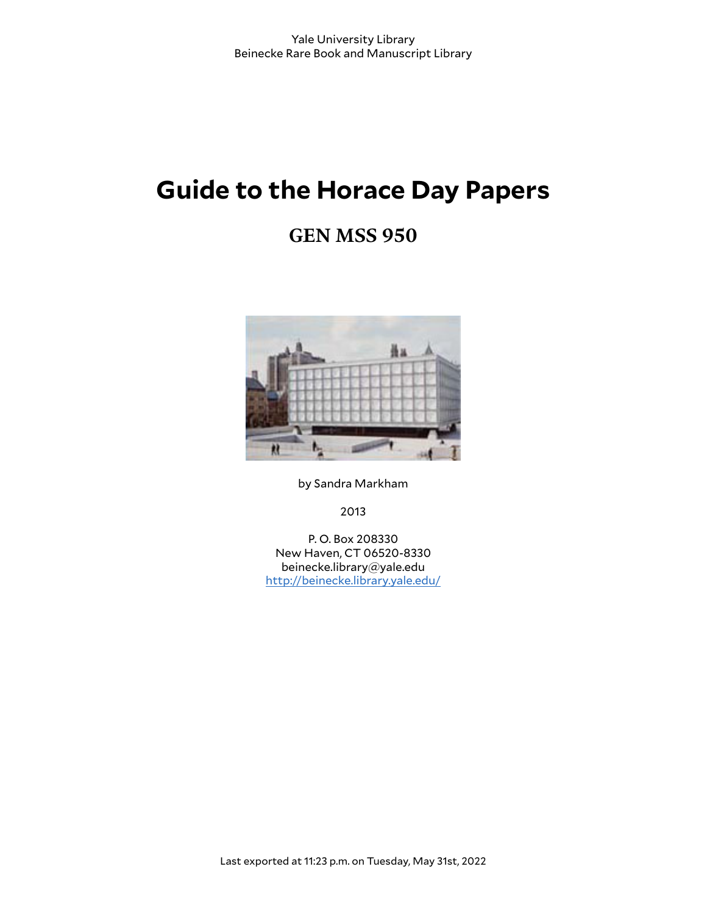# **Guide to the Horace Day Papers**

# **GEN MSS 950**



by Sandra Markham

2013

P. O. Box 208330 New Haven, CT 06520-8330 beinecke.library@yale.edu <http://beinecke.library.yale.edu/>

Last exported at 11:23 p.m. on Tuesday, May 31st, 2022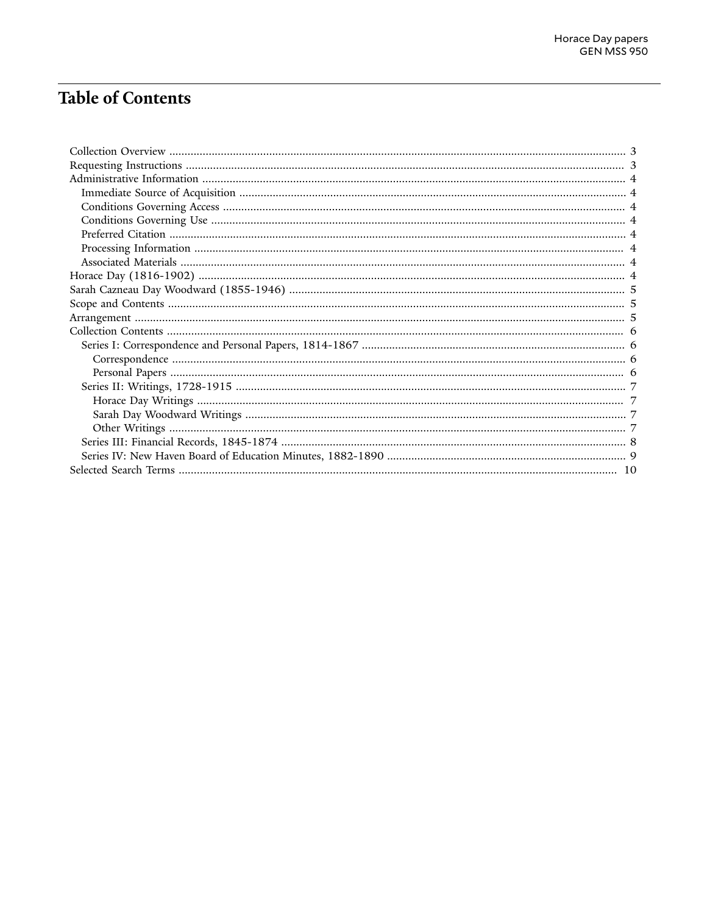# **Table of Contents**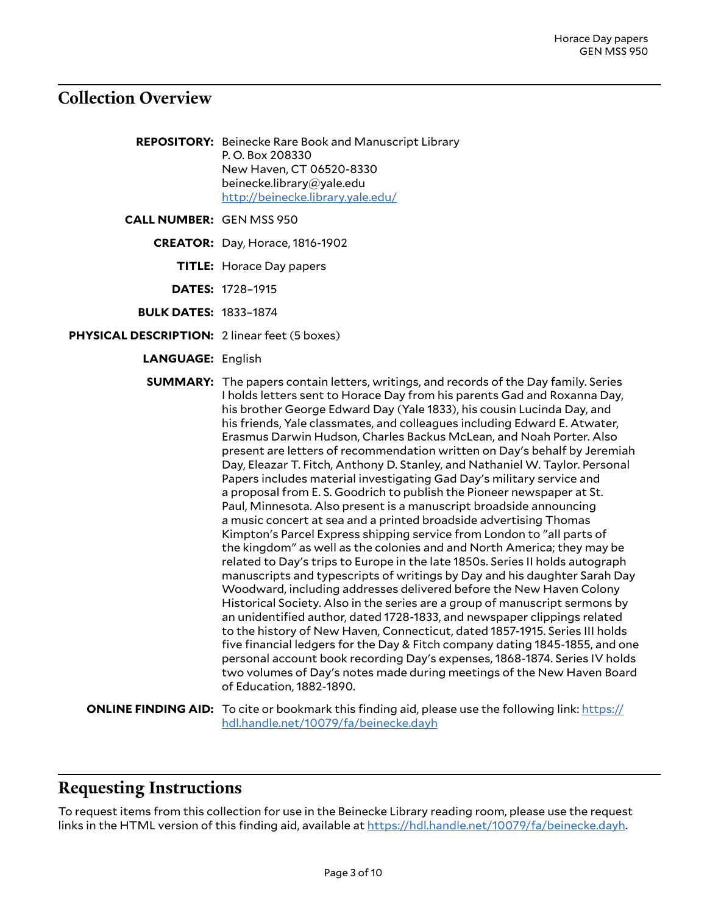# <span id="page-2-0"></span>**Collection Overview**

- **REPOSITORY:** Beinecke Rare Book and Manuscript Library P. O. Box 208330 New Haven, CT 06520-8330 beinecke.library@yale.edu <http://beinecke.library.yale.edu/>
- **CALL NUMBER:** GEN MSS 950
	- **CREATOR:** Day, Horace, 1816-1902
		- **TITLE:** Horace Day papers
		- **DATES:** 1728–1915
	- **BULK DATES:** 1833–1874
- **PHYSICAL DESCRIPTION:** 2 linear feet (5 boxes)
	- **LANGUAGE:** English

**SUMMARY:** The papers contain letters, writings, and records of the Day family. Series I holds letters sent to Horace Day from his parents Gad and Roxanna Day, his brother George Edward Day (Yale 1833), his cousin Lucinda Day, and his friends, Yale classmates, and colleagues including Edward E. Atwater, Erasmus Darwin Hudson, Charles Backus McLean, and Noah Porter. Also present are letters of recommendation written on Day's behalf by Jeremiah Day, Eleazar T. Fitch, Anthony D. Stanley, and Nathaniel W. Taylor. Personal Papers includes material investigating Gad Day's military service and a proposal from E. S. Goodrich to publish the Pioneer newspaper at St. Paul, Minnesota. Also present is a manuscript broadside announcing a music concert at sea and a printed broadside advertising Thomas Kimpton's Parcel Express shipping service from London to "all parts of the kingdom" as well as the colonies and and North America; they may be related to Day's trips to Europe in the late 1850s. Series II holds autograph manuscripts and typescripts of writings by Day and his daughter Sarah Day Woodward, including addresses delivered before the New Haven Colony Historical Society. Also in the series are a group of manuscript sermons by an unidentified author, dated 1728-1833, and newspaper clippings related to the history of New Haven, Connecticut, dated 1857-1915. Series III holds five financial ledgers for the Day & Fitch company dating 1845-1855, and one personal account book recording Day's expenses, 1868-1874. Series IV holds two volumes of Day's notes made during meetings of the New Haven Board of Education, 1882-1890.

**ONLINE FINDING AID:** To cite or bookmark this finding aid, please use the following link: [https://](https://hdl.handle.net/10079/fa/beinecke.dayh) [hdl.handle.net/10079/fa/beinecke.dayh](https://hdl.handle.net/10079/fa/beinecke.dayh)

# <span id="page-2-1"></span>**Requesting Instructions**

To request items from this collection for use in the Beinecke Library reading room, please use the request links in the HTML version of this finding aid, available at [https://hdl.handle.net/10079/fa/beinecke.dayh.](https://hdl.handle.net/10079/fa/beinecke.dayh)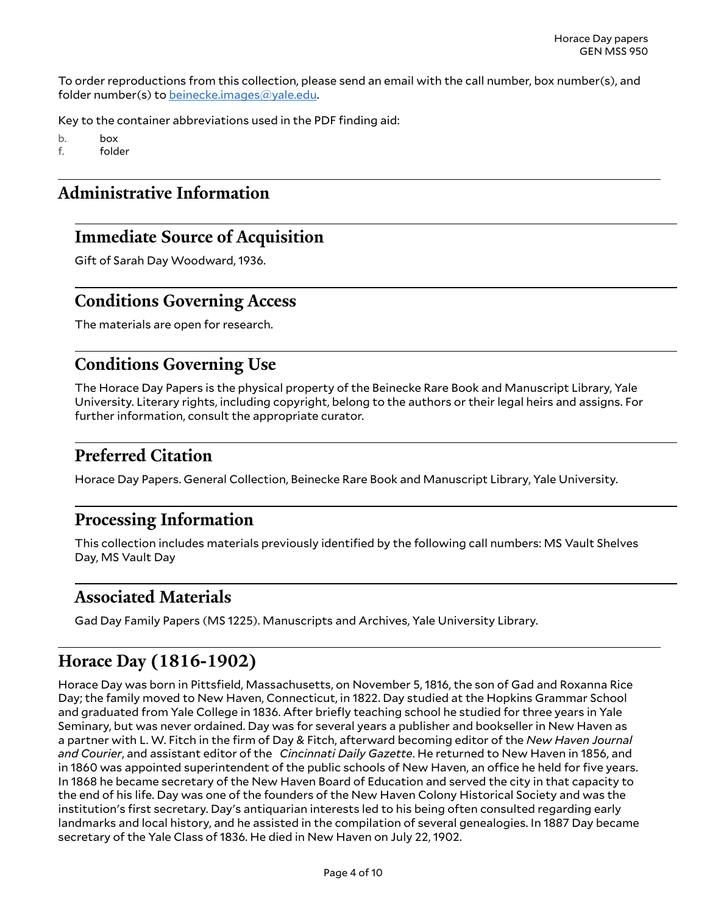To order reproductions from this collection, please send an email with the call number, box number(s), and folder number(s) to [beinecke.images@yale.edu.](mailto:beinecke.images@yale.edu)

Key to the container abbreviations used in the PDF finding aid:

b. box f. folder

# <span id="page-3-0"></span>**Administrative Information**

# <span id="page-3-1"></span>**Immediate Source of Acquisition**

Gift of Sarah Day Woodward, 1936.

# <span id="page-3-2"></span>**Conditions Governing Access**

The materials are open for research.

# <span id="page-3-3"></span>**Conditions Governing Use**

The Horace Day Papers is the physical property of the Beinecke Rare Book and Manuscript Library, Yale University. Literary rights, including copyright, belong to the authors or their legal heirs and assigns. For further information, consult the appropriate curator.

# <span id="page-3-4"></span>**Preferred Citation**

Horace Day Papers. General Collection, Beinecke Rare Book and Manuscript Library, Yale University.

# <span id="page-3-5"></span>**Processing Information**

This collection includes materials previously identified by the following call numbers: MS Vault Shelves Day, MS Vault Day

# <span id="page-3-6"></span>**Associated Materials**

Gad Day Family Papers (MS 1225). Manuscripts and Archives, Yale University Library.

# <span id="page-3-7"></span>**Horace Day (1816-1902)**

Horace Day was born in Pittsfield, Massachusetts, on November 5, 1816, the son of Gad and Roxanna Rice Day; the family moved to New Haven, Connecticut, in 1822. Day studied at the Hopkins Grammar School and graduated from Yale College in 1836. After briefly teaching school he studied for three years in Yale Seminary, but was never ordained. Day was for several years a publisher and bookseller in New Haven as a partner with L. W. Fitch in the firm of Day & Fitch, afterward becoming editor of the *New Haven Journal and Courier*, and assistant editor of the *Cincinnati Daily Gazette*. He returned to New Haven in 1856, and in 1860 was appointed superintendent of the public schools of New Haven, an office he held for five years. In 1868 he became secretary of the New Haven Board of Education and served the city in that capacity to the end of his life. Day was one of the founders of the New Haven Colony Historical Society and was the institution's first secretary. Day's antiquarian interests led to his being often consulted regarding early landmarks and local history, and he assisted in the compilation of several genealogies. In 1887 Day became secretary of the Yale Class of 1836. He died in New Haven on July 22, 1902.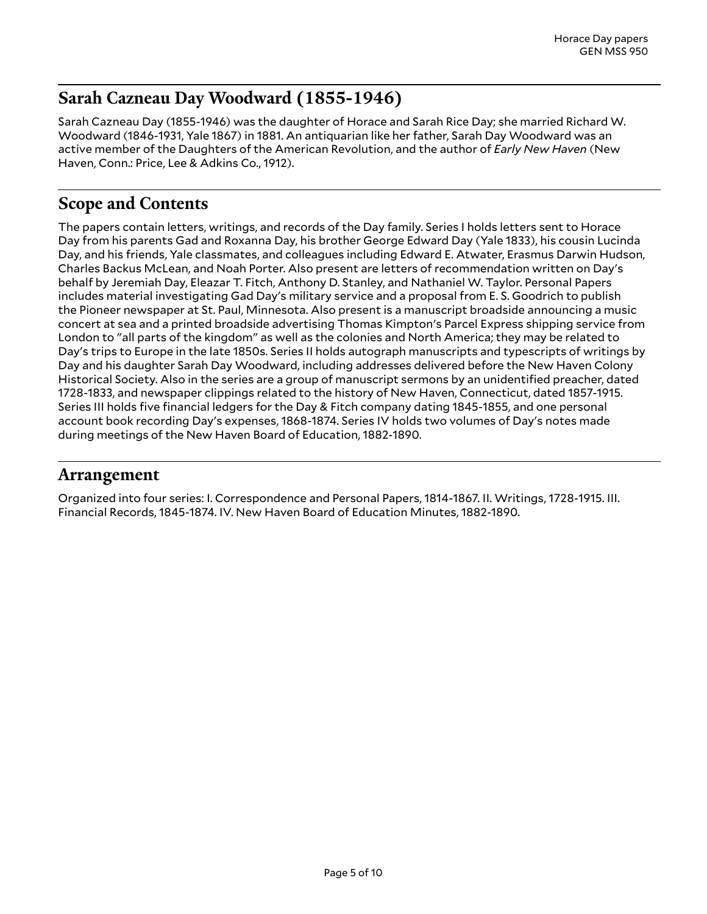# <span id="page-4-0"></span>**Sarah Cazneau Day Woodward (1855-1946)**

Sarah Cazneau Day (1855-1946) was the daughter of Horace and Sarah Rice Day; she married Richard W. Woodward (1846-1931, Yale 1867) in 1881. An antiquarian like her father, Sarah Day Woodward was an active member of the Daughters of the American Revolution, and the author of *Early New Haven* (New Haven, Conn.: Price, Lee & Adkins Co., 1912).

# <span id="page-4-1"></span>**Scope and Contents**

The papers contain letters, writings, and records of the Day family. Series I holds letters sent to Horace Day from his parents Gad and Roxanna Day, his brother George Edward Day (Yale 1833), his cousin Lucinda Day, and his friends, Yale classmates, and colleagues including Edward E. Atwater, Erasmus Darwin Hudson, Charles Backus McLean, and Noah Porter. Also present are letters of recommendation written on Day's behalf by Jeremiah Day, Eleazar T. Fitch, Anthony D. Stanley, and Nathaniel W. Taylor. Personal Papers includes material investigating Gad Day's military service and a proposal from E. S. Goodrich to publish the Pioneer newspaper at St. Paul, Minnesota. Also present is a manuscript broadside announcing a music concert at sea and a printed broadside advertising Thomas Kimpton's Parcel Express shipping service from London to "all parts of the kingdom" as well as the colonies and North America; they may be related to Day's trips to Europe in the late 1850s. Series II holds autograph manuscripts and typescripts of writings by Day and his daughter Sarah Day Woodward, including addresses delivered before the New Haven Colony Historical Society. Also in the series are a group of manuscript sermons by an unidentified preacher, dated 1728-1833, and newspaper clippings related to the history of New Haven, Connecticut, dated 1857-1915. Series III holds five financial ledgers for the Day & Fitch company dating 1845-1855, and one personal account book recording Day's expenses, 1868-1874. Series IV holds two volumes of Day's notes made during meetings of the New Haven Board of Education, 1882-1890.

# <span id="page-4-2"></span>**Arrangement**

Organized into four series: I. Correspondence and Personal Papers, 1814-1867. II. Writings, 1728-1915. III. Financial Records, 1845-1874. IV. New Haven Board of Education Minutes, 1882-1890.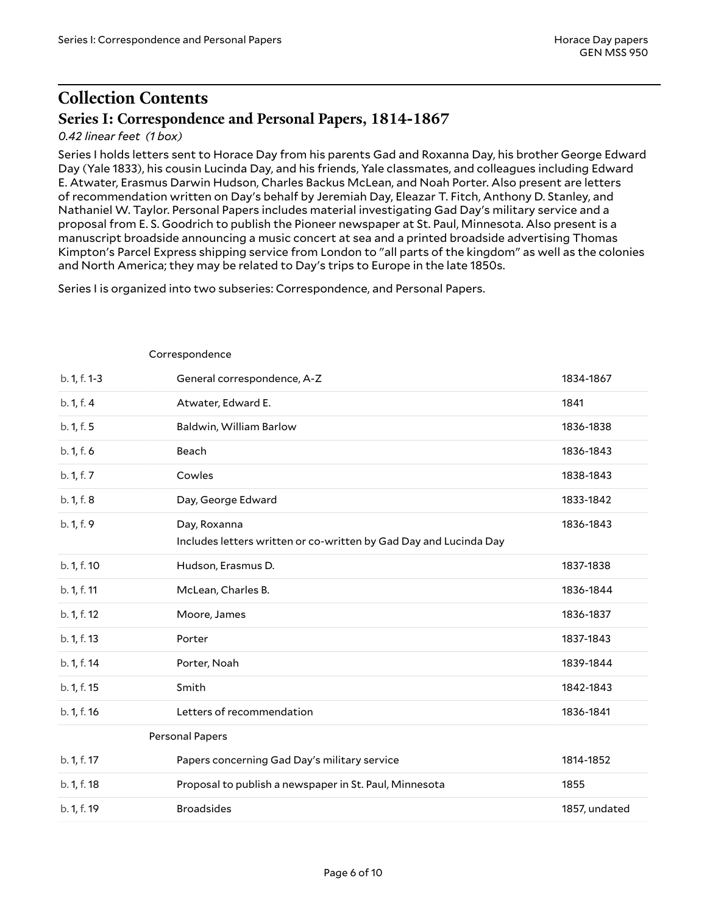<span id="page-5-3"></span><span id="page-5-2"></span>Correspondence

# <span id="page-5-0"></span>**Collection Contents Series I: Correspondence and Personal Papers, 1814-1867**

#### <span id="page-5-1"></span>*0.42 linear feet (1 box)*

Series I holds letters sent to Horace Day from his parents Gad and Roxanna Day, his brother George Edward Day (Yale 1833), his cousin Lucinda Day, and his friends, Yale classmates, and colleagues including Edward E. Atwater, Erasmus Darwin Hudson, Charles Backus McLean, and Noah Porter. Also present are letters of recommendation written on Day's behalf by Jeremiah Day, Eleazar T. Fitch, Anthony D. Stanley, and Nathaniel W. Taylor. Personal Papers includes material investigating Gad Day's military service and a proposal from E. S. Goodrich to publish the Pioneer newspaper at St. Paul, Minnesota. Also present is a manuscript broadside announcing a music concert at sea and a printed broadside advertising Thomas Kimpton's Parcel Express shipping service from London to "all parts of the kingdom" as well as the colonies and North America; they may be related to Day's trips to Europe in the late 1850s.

Series I is organized into two subseries: Correspondence, and Personal Papers.

| b. 1, f. 1-3 | General correspondence, A-Z                                                       | 1834-1867     |
|--------------|-----------------------------------------------------------------------------------|---------------|
| b. 1, f. 4   | Atwater, Edward E.                                                                | 1841          |
| b. 1, f. 5   | Baldwin, William Barlow                                                           | 1836-1838     |
| b. 1, f. 6   | Beach                                                                             | 1836-1843     |
| b. 1, f. 7   | Cowles                                                                            | 1838-1843     |
| b. 1, f. 8   | Day, George Edward                                                                | 1833-1842     |
| b. 1, f. 9   | Day, Roxanna<br>Includes letters written or co-written by Gad Day and Lucinda Day | 1836-1843     |
| b. 1, f. 10  | Hudson, Erasmus D.                                                                | 1837-1838     |
| b. 1, f. 11  | McLean, Charles B.                                                                | 1836-1844     |
| b. 1, f. 12  | Moore, James                                                                      | 1836-1837     |
| b. 1, f. 13  | Porter                                                                            | 1837-1843     |
| b. 1, f. 14  | Porter, Noah                                                                      | 1839-1844     |
| b. 1, f. 15  | Smith                                                                             | 1842-1843     |
| b. 1, f. 16  | Letters of recommendation                                                         | 1836-1841     |
|              | <b>Personal Papers</b>                                                            |               |
| b. 1, f. 17  | Papers concerning Gad Day's military service                                      | 1814-1852     |
| b. 1, f. 18  | Proposal to publish a newspaper in St. Paul, Minnesota                            | 1855          |
| b. 1, f. 19  | <b>Broadsides</b>                                                                 | 1857, undated |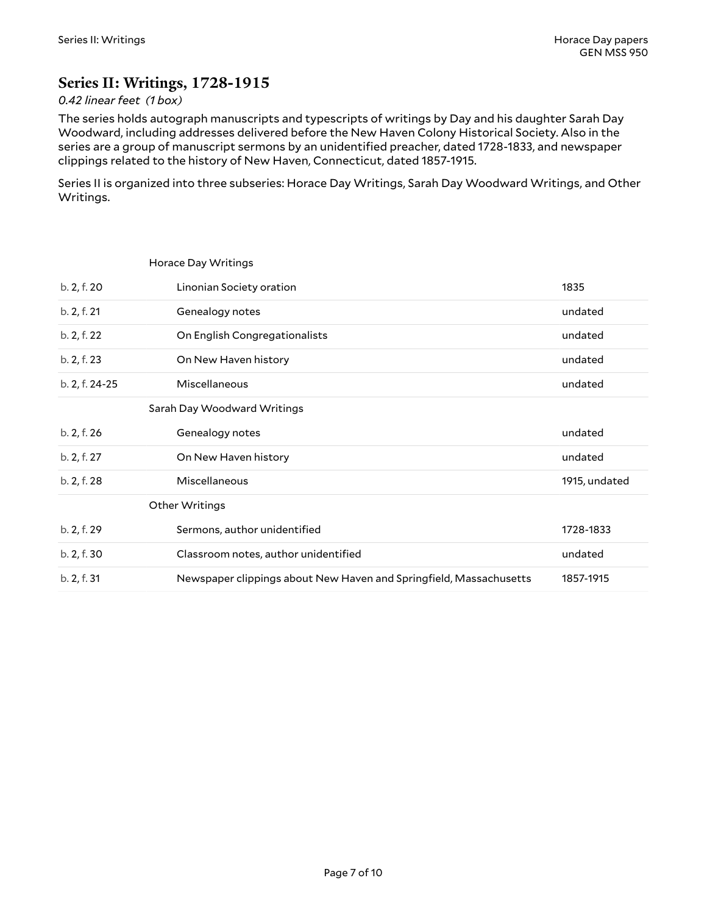# <span id="page-6-0"></span>**Series II: Writings, 1728-1915**

<span id="page-6-3"></span><span id="page-6-2"></span><span id="page-6-1"></span>Horace Day Writings

#### *0.42 linear feet (1 box)*

The series holds autograph manuscripts and typescripts of writings by Day and his daughter Sarah Day Woodward, including addresses delivered before the New Haven Colony Historical Society. Also in the series are a group of manuscript sermons by an unidentified preacher, dated 1728-1833, and newspaper clippings related to the history of New Haven, Connecticut, dated 1857-1915.

Series II is organized into three subseries: Horace Day Writings, Sarah Day Woodward Writings, and Other Writings.

| b. 2, f. 20    | Linonian Society oration                                           | 1835          |
|----------------|--------------------------------------------------------------------|---------------|
| b. 2, f. 21    | Genealogy notes                                                    | undated       |
| b. 2, f. 22    | On English Congregationalists                                      | undated       |
| b. 2, f. 23    | On New Haven history                                               | undated       |
| b. 2, f. 24-25 | Miscellaneous                                                      | undated       |
|                | Sarah Day Woodward Writings                                        |               |
| b. 2, f. 26    | Genealogy notes                                                    | undated       |
| b. 2, f. 27    | On New Haven history                                               | undated       |
| b. 2, f. 28    | Miscellaneous                                                      | 1915, undated |
|                | Other Writings                                                     |               |
| b. 2, f. 29    | Sermons, author unidentified                                       | 1728-1833     |
| b. 2, f. 30    | Classroom notes, author unidentified                               | undated       |
| b. 2, f. 31    | Newspaper clippings about New Haven and Springfield, Massachusetts | 1857-1915     |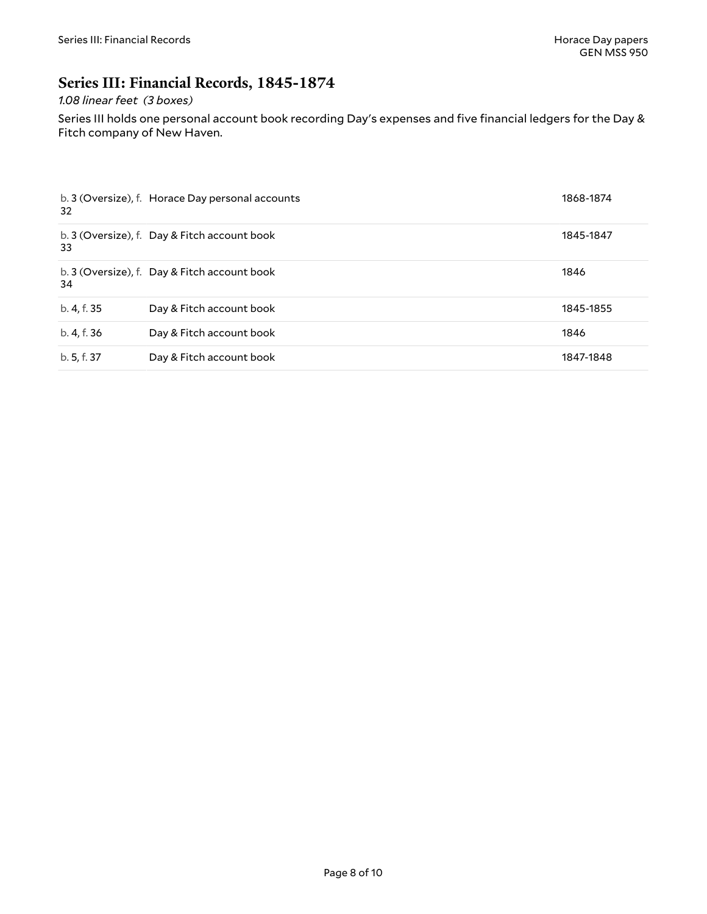# <span id="page-7-0"></span>**Series III: Financial Records, 1845-1874**

#### *1.08 linear feet (3 boxes)*

Series III holds one personal account book recording Day's expenses and five financial ledgers for the Day & Fitch company of New Haven.

| 32          | b. 3 (Oversize), f. Horace Day personal accounts | 1868-1874 |
|-------------|--------------------------------------------------|-----------|
| 33          | b. 3 (Oversize), f. Day & Fitch account book     | 1845-1847 |
| 34          | b. 3 (Oversize), f. Day & Fitch account book     | 1846      |
| b. 4, f. 35 | Day & Fitch account book                         | 1845-1855 |
| b. 4, f. 36 | Day & Fitch account book                         | 1846      |
| b. 5, f. 37 | Day & Fitch account book                         | 1847-1848 |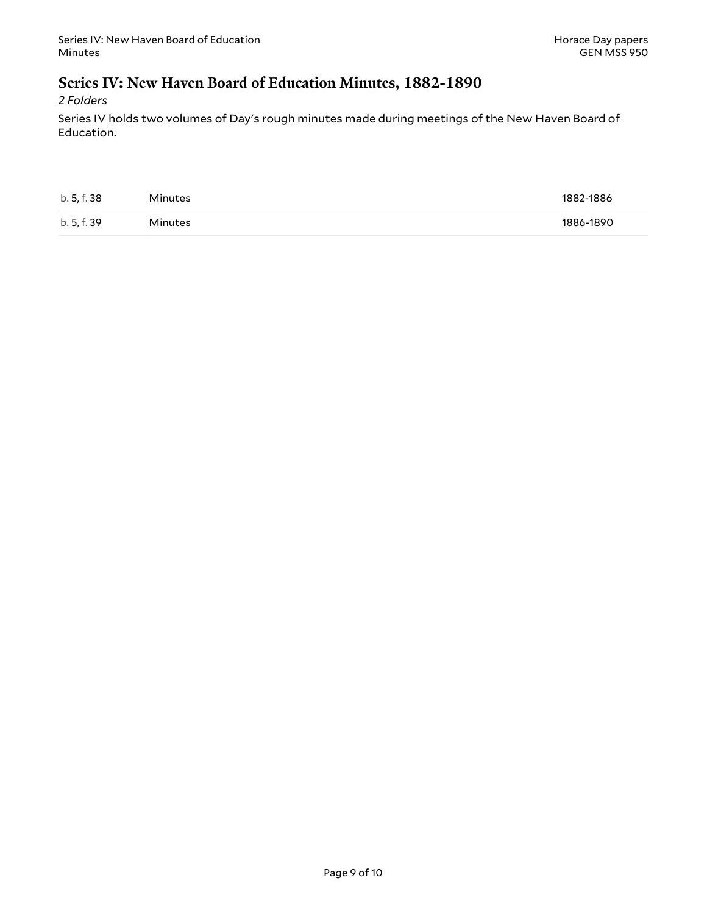### <span id="page-8-0"></span>**Series IV: New Haven Board of Education Minutes, 1882-1890**

*2 Folders*

Series IV holds two volumes of Day's rough minutes made during meetings of the New Haven Board of Education.

| b. 5, f. 38 | Minutes | 1882-1886 |
|-------------|---------|-----------|
| b. 5, f. 39 | Minutes | 1886-1890 |